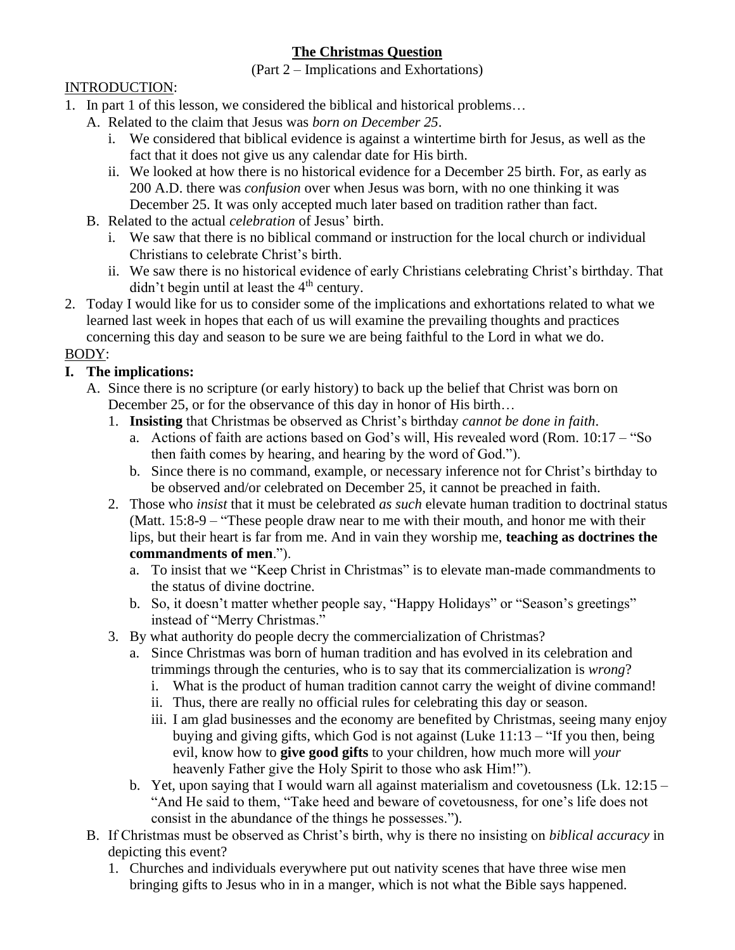## **The Christmas Question**

(Part 2 – Implications and Exhortations)

### INTRODUCTION:

- 1. In part 1 of this lesson, we considered the biblical and historical problems…
	- A. Related to the claim that Jesus was *born on December 25*.
		- i. We considered that biblical evidence is against a wintertime birth for Jesus, as well as the fact that it does not give us any calendar date for His birth.
		- ii. We looked at how there is no historical evidence for a December 25 birth. For, as early as 200 A.D. there was *confusion* over when Jesus was born, with no one thinking it was December 25. It was only accepted much later based on tradition rather than fact.
	- B. Related to the actual *celebration* of Jesus' birth.
		- i. We saw that there is no biblical command or instruction for the local church or individual Christians to celebrate Christ's birth.
		- ii. We saw there is no historical evidence of early Christians celebrating Christ's birthday. That didn't begin until at least the  $4<sup>th</sup>$  century.
- 2. Today I would like for us to consider some of the implications and exhortations related to what we learned last week in hopes that each of us will examine the prevailing thoughts and practices concerning this day and season to be sure we are being faithful to the Lord in what we do.

### BODY:

## **I. The implications:**

- A. Since there is no scripture (or early history) to back up the belief that Christ was born on December 25, or for the observance of this day in honor of His birth…
	- 1. **Insisting** that Christmas be observed as Christ's birthday *cannot be done in faith*.
		- a. Actions of faith are actions based on God's will, His revealed word (Rom. 10:17 "So then faith comes by hearing, and hearing by the word of God.").
		- b. Since there is no command, example, or necessary inference not for Christ's birthday to be observed and/or celebrated on December 25, it cannot be preached in faith.
	- 2. Those who *insist* that it must be celebrated *as such* elevate human tradition to doctrinal status (Matt. 15:8-9 – "These people draw near to me with their mouth, and honor me with their lips, but their heart is far from me. And in vain they worship me, **teaching as doctrines the commandments of men**.").
		- a. To insist that we "Keep Christ in Christmas" is to elevate man-made commandments to the status of divine doctrine.
		- b. So, it doesn't matter whether people say, "Happy Holidays" or "Season's greetings" instead of "Merry Christmas."
	- 3. By what authority do people decry the commercialization of Christmas?
		- a. Since Christmas was born of human tradition and has evolved in its celebration and trimmings through the centuries, who is to say that its commercialization is *wrong*?
			- i. What is the product of human tradition cannot carry the weight of divine command!
			- ii. Thus, there are really no official rules for celebrating this day or season.
			- iii. I am glad businesses and the economy are benefited by Christmas, seeing many enjoy buying and giving gifts, which God is not against (Luke 11:13 – "If you then, being evil, know how to **give good gifts** to your children, how much more will *your* heavenly Father give the Holy Spirit to those who ask Him!").
		- b. Yet, upon saying that I would warn all against materialism and covetousness (Lk.  $12:15 -$ "And He said to them, "Take heed and beware of covetousness, for one's life does not consist in the abundance of the things he possesses.").
- B. If Christmas must be observed as Christ's birth, why is there no insisting on *biblical accuracy* in depicting this event?
	- 1. Churches and individuals everywhere put out nativity scenes that have three wise men bringing gifts to Jesus who in in a manger, which is not what the Bible says happened.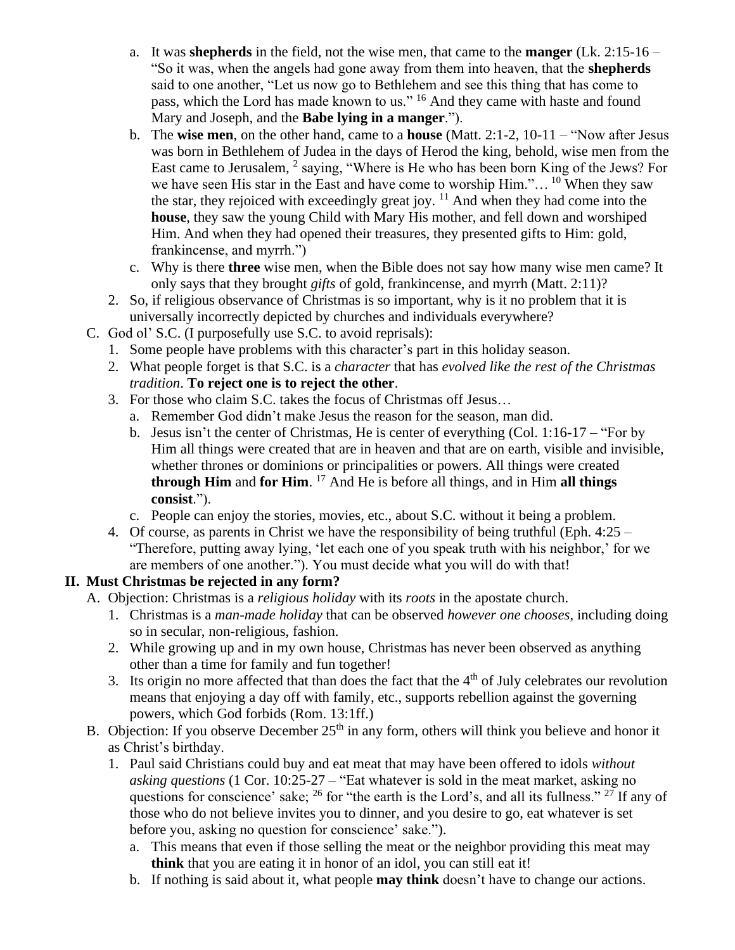- a. It was **shepherds** in the field, not the wise men, that came to the **manger** (Lk. 2:15-16 "So it was, when the angels had gone away from them into heaven, that the **shepherds** said to one another, "Let us now go to Bethlehem and see this thing that has come to pass, which the Lord has made known to us." <sup>16</sup> And they came with haste and found Mary and Joseph, and the **Babe lying in a manger**.").
- b. The **wise men**, on the other hand, came to a **house** (Matt. 2:1-2, 10-11 "Now after Jesus was born in Bethlehem of Judea in the days of Herod the king, behold, wise men from the East came to Jerusalem, <sup>2</sup> saying, "Where is He who has been born King of the Jews? For we have seen His star in the East and have come to worship  $\text{Him.}$ "... <sup>10</sup> When they saw the star, they rejoiced with exceedingly great joy.  $11$  And when they had come into the **house**, they saw the young Child with Mary His mother, and fell down and worshiped Him. And when they had opened their treasures, they presented gifts to Him: gold, frankincense, and myrrh.")
- c. Why is there **three** wise men, when the Bible does not say how many wise men came? It only says that they brought *gifts* of gold, frankincense, and myrrh (Matt. 2:11)?
- 2. So, if religious observance of Christmas is so important, why is it no problem that it is universally incorrectly depicted by churches and individuals everywhere?
- C. God ol' S.C. (I purposefully use S.C. to avoid reprisals):
	- 1. Some people have problems with this character's part in this holiday season.
		- 2. What people forget is that S.C. is a *character* that has *evolved like the rest of the Christmas tradition*. **To reject one is to reject the other**.
		- 3. For those who claim S.C. takes the focus of Christmas off Jesus…
			- a. Remember God didn't make Jesus the reason for the season, man did.
			- b. Jesus isn't the center of Christmas, He is center of everything (Col. 1:16-17 "For by Him all things were created that are in heaven and that are on earth, visible and invisible, whether thrones or dominions or principalities or powers. All things were created **through Him** and **for Him**. <sup>17</sup> And He is before all things, and in Him **all things consist**.").
			- c. People can enjoy the stories, movies, etc., about S.C. without it being a problem.
		- 4. Of course, as parents in Christ we have the responsibility of being truthful (Eph.  $4:25$  "Therefore, putting away lying, 'let each one of you speak truth with his neighbor,' for we are members of one another."). You must decide what you will do with that!

# **II. Must Christmas be rejected in any form?**

- A. Objection: Christmas is a *religious holiday* with its *roots* in the apostate church.
	- 1. Christmas is a *man-made holiday* that can be observed *however one chooses*, including doing so in secular, non-religious, fashion.
	- 2. While growing up and in my own house, Christmas has never been observed as anything other than a time for family and fun together!
	- 3. Its origin no more affected that than does the fact that the  $4<sup>th</sup>$  of July celebrates our revolution means that enjoying a day off with family, etc., supports rebellion against the governing powers, which God forbids (Rom. 13:1ff.)
- B. Objection: If you observe December  $25<sup>th</sup>$  in any form, others will think you believe and honor it as Christ's birthday.
	- 1. Paul said Christians could buy and eat meat that may have been offered to idols *without asking questions* (1 Cor. 10:25-27 – "Eat whatever is sold in the meat market, asking no questions for conscience' sake;  $^{26}$  for "the earth is the Lord's, and all its fullness."  $^{27}$  If any of those who do not believe invites you to dinner, and you desire to go, eat whatever is set before you, asking no question for conscience' sake.").
		- a. This means that even if those selling the meat or the neighbor providing this meat may **think** that you are eating it in honor of an idol, you can still eat it!
		- b. If nothing is said about it, what people **may think** doesn't have to change our actions.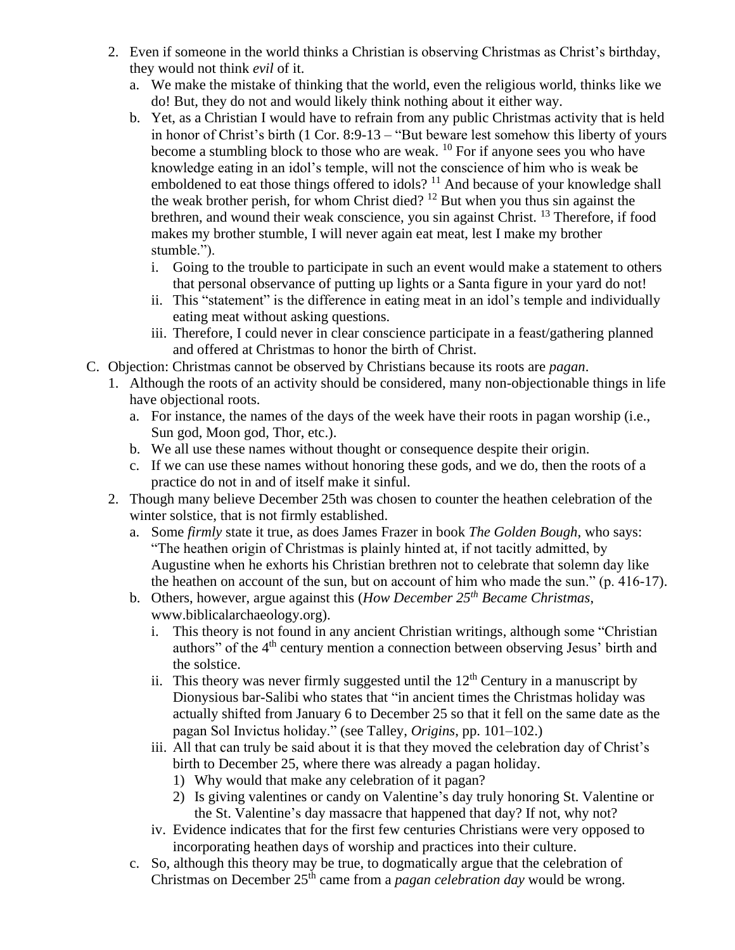- 2. Even if someone in the world thinks a Christian is observing Christmas as Christ's birthday, they would not think *evil* of it.
	- a. We make the mistake of thinking that the world, even the religious world, thinks like we do! But, they do not and would likely think nothing about it either way.
	- b. Yet, as a Christian I would have to refrain from any public Christmas activity that is held in honor of Christ's birth (1 Cor. 8:9-13 – "But beware lest somehow this liberty of yours become a stumbling block to those who are weak.  $^{10}$  For if anyone sees you who have knowledge eating in an idol's temple, will not the conscience of him who is weak be emboldened to eat those things offered to idols?<sup>11</sup> And because of your knowledge shall the weak brother perish, for whom Christ died? <sup>12</sup> But when you thus sin against the brethren, and wound their weak conscience, you sin against Christ.<sup>13</sup> Therefore, if food makes my brother stumble, I will never again eat meat, lest I make my brother stumble.").
		- i. Going to the trouble to participate in such an event would make a statement to others that personal observance of putting up lights or a Santa figure in your yard do not!
		- ii. This "statement" is the difference in eating meat in an idol's temple and individually eating meat without asking questions.
		- iii. Therefore, I could never in clear conscience participate in a feast/gathering planned and offered at Christmas to honor the birth of Christ.
- C. Objection: Christmas cannot be observed by Christians because its roots are *pagan*.
	- 1. Although the roots of an activity should be considered, many non-objectionable things in life have objectional roots.
		- a. For instance, the names of the days of the week have their roots in pagan worship (i.e., Sun god, Moon god, Thor, etc.).
		- b. We all use these names without thought or consequence despite their origin.
		- c. If we can use these names without honoring these gods, and we do, then the roots of a practice do not in and of itself make it sinful.
	- 2. Though many believe December 25th was chosen to counter the heathen celebration of the winter solstice, that is not firmly established.
		- a. Some *firmly* state it true, as does James Frazer in book *The Golden Bough*, who says: "The heathen origin of Christmas is plainly hinted at, if not tacitly admitted, by Augustine when he exhorts his Christian brethren not to celebrate that solemn day like the heathen on account of the sun, but on account of him who made the sun." (p. 416-17).
		- b. Others, however, argue against this (*How December 25th Became Christmas*, www.biblicalarchaeology.org).
			- i. This theory is not found in any ancient Christian writings, although some "Christian authors" of the 4<sup>th</sup> century mention a connection between observing Jesus' birth and the solstice.
			- ii. This theory was never firmly suggested until the  $12<sup>th</sup>$  Century in a manuscript by Dionysious bar-Salibi who states that "in ancient times the Christmas holiday was actually shifted from January 6 to December 25 so that it fell on the same date as the pagan Sol Invictus holiday." (see Talley, *Origins*, pp. 101–102.)
			- iii. All that can truly be said about it is that they moved the celebration day of Christ's birth to December 25, where there was already a pagan holiday.
				- 1) Why would that make any celebration of it pagan?
				- 2) Is giving valentines or candy on Valentine's day truly honoring St. Valentine or the St. Valentine's day massacre that happened that day? If not, why not?
			- iv. Evidence indicates that for the first few centuries Christians were very opposed to incorporating heathen days of worship and practices into their culture.
		- c. So, although this theory may be true, to dogmatically argue that the celebration of Christmas on December 25th came from a *pagan celebration day* would be wrong.